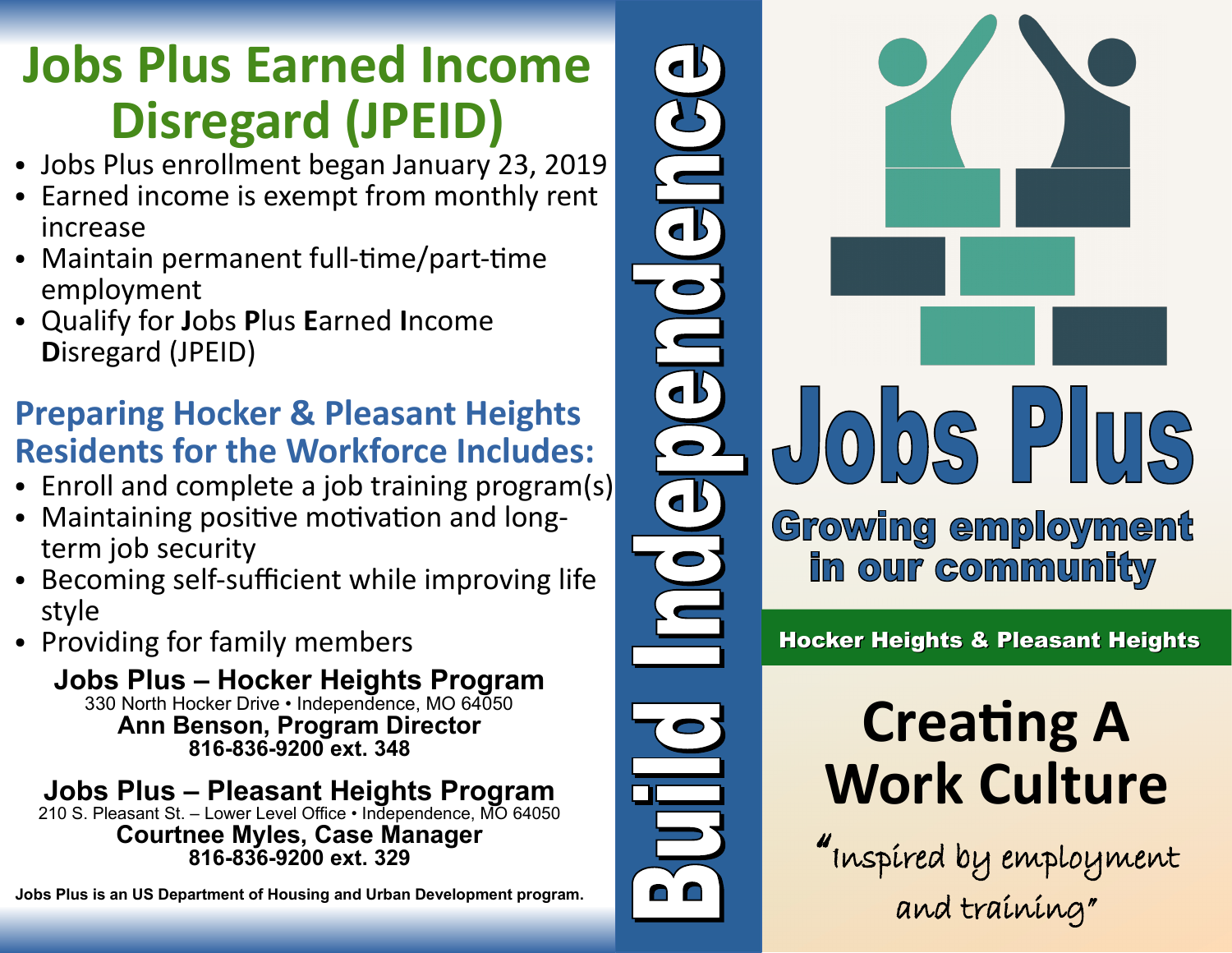## **Jobs Plus Earned Income Disregard (JPEID)**

- Jobs Plus enrollment began January 23, 2019
- Earned income is exempt from monthly rent increase
- Maintain permanent full-time/part-time employment
- Qualify for **J**obs **P**lus **E**arned **I**ncome **D**isregard (JPEID)

#### **Preparing Hocker & Pleasant Heights Residents for the Workforce Includes:**

- Enroll and complete a job training program(s)
- Maintaining positive motivation and longterm job security
- Becoming self-sufficient while improving life style
- Providing for family members

**Jobs Plus – Hocker Heights Program** 330 North Hocker Drive • Independence, MO 64050 **Ann Benson, Program Director 816-836-9200 ext. 348**

### **Jobs Plus – Pleasant Heights Program**

210 S. Pleasant St. – Lower Level Office • Independence, MO 64050 **Courtnee Myles, Case Manager 816-836-9200 ext. 329**

**Jobs Plus is an US Department of Housing and Urban Development program.**